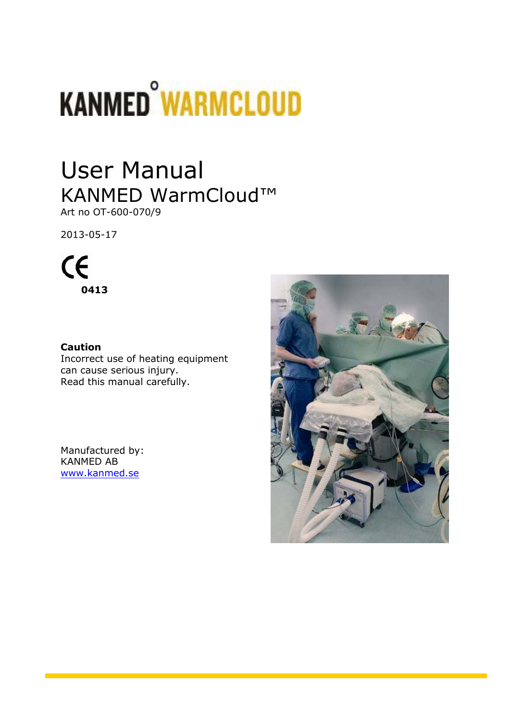# **KANMED<sup>°</sup>WARMCLOUD**

# User Manual KANMED WarmCloud™ Art no OT-600-070/9

2013-05-17

 $\epsilon$  **0413** 

### **Caution**

Incorrect use of heating equipment can cause serious injury. Read this manual carefully.

Manufactured by: KANMED AB www.kanmed.se

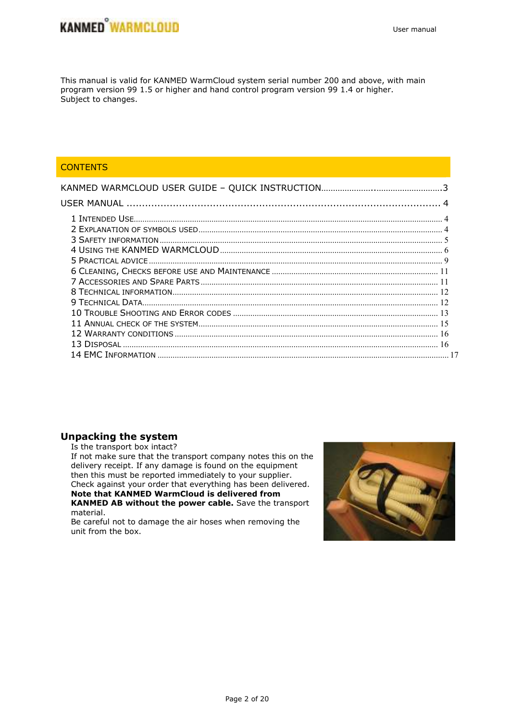

This manual is valid for KANMED WarmCloud system serial number 200 and above, with main program version 99 1.5 or higher and hand control program version 99 1.4 or higher. Subject to changes.

### **CONTENTS**

### **Unpacking the system**

Is the transport box intact?

If not make sure that the transport company notes this on the delivery receipt. If any damage is found on the equipment then this must be reported immediately to your supplier. Check against your order that everything has been delivered. **Note that KANMED WarmCloud is delivered from KANMED AB without the power cable.** Save the transport material.

Be careful not to damage the air hoses when removing the unit from the box.

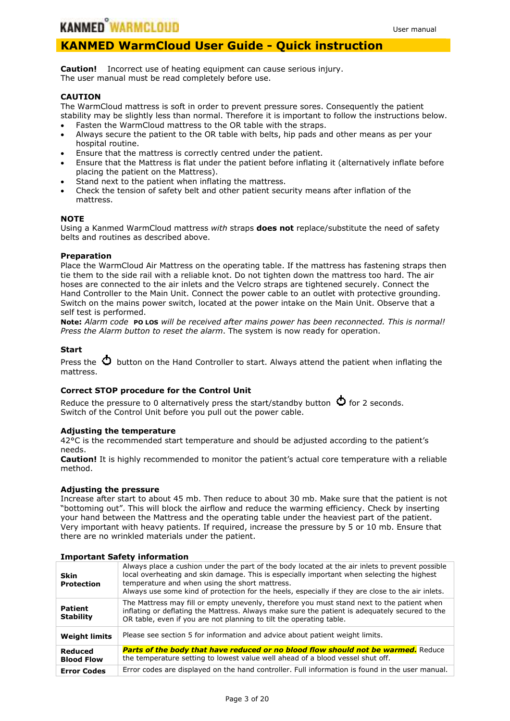# **KANMED WarmCloud User Guide - Quick instruction**

**Caution!** Incorrect use of heating equipment can cause serious injury. The user manual must be read completely before use.

#### **CAUTION**

The WarmCloud mattress is soft in order to prevent pressure sores. Consequently the patient stability may be slightly less than normal. Therefore it is important to follow the instructions below.

- Fasten the WarmCloud mattress to the OR table with the straps.
- Always secure the patient to the OR table with belts, hip pads and other means as per your hospital routine.
- Ensure that the mattress is correctly centred under the patient.
- Ensure that the Mattress is flat under the patient before inflating it (alternatively inflate before placing the patient on the Mattress).
- Stand next to the patient when inflating the mattress.
- Check the tension of safety belt and other patient security means after inflation of the mattress.

#### **NOTE**

Using a Kanmed WarmCloud mattress *with* straps **does not** replace/substitute the need of safety belts and routines as described above.

#### **Preparation**

Place the WarmCloud Air Mattress on the operating table. If the mattress has fastening straps then tie them to the side rail with a reliable knot. Do not tighten down the mattress too hard. The air hoses are connected to the air inlets and the Velcro straps are tightened securely. Connect the Hand Controller to the Main Unit. Connect the power cable to an outlet with protective grounding. Switch on the mains power switch, located at the power intake on the Main Unit. Observe that a self test is performed.

**Note:** *Alarm code* **PO LOS** *will be received after mains power has been reconnected. This is normal! Press the Alarm button to reset the alarm*. The system is now ready for operation.

#### **Start**

Press the  $\Phi$  button on the Hand Controller to start. Always attend the patient when inflating the mattress.

#### **Correct STOP procedure for the Control Unit**

Reduce the pressure to 0 alternatively press the start/standby button  $\Phi$  for 2 seconds. Switch of the Control Unit before you pull out the power cable.

#### **Adjusting the temperature**

42°C is the recommended start temperature and should be adjusted according to the patient's needs.

**Caution!** It is highly recommended to monitor the patient's actual core temperature with a reliable method.

#### **Adjusting the pressure**

Increase after start to about 45 mb. Then reduce to about 30 mb. Make sure that the patient is not "bottoming out". This will block the airflow and reduce the warming efficiency. Check by inserting your hand between the Mattress and the operating table under the heaviest part of the patient. Very important with heavy patients. If required, increase the pressure by 5 or 10 mb. Ensure that there are no wrinkled materials under the patient.

| <b>Skin</b><br><b>Protection</b>   | Always place a cushion under the part of the body located at the air inlets to prevent possible<br>local overheating and skin damage. This is especially important when selecting the highest<br>temperature and when using the short mattress.<br>Always use some kind of protection for the heels, especially if they are close to the air inlets. |
|------------------------------------|------------------------------------------------------------------------------------------------------------------------------------------------------------------------------------------------------------------------------------------------------------------------------------------------------------------------------------------------------|
| <b>Patient</b><br><b>Stability</b> | The Mattress may fill or empty unevenly, therefore you must stand next to the patient when<br>inflating or deflating the Mattress. Always make sure the patient is adequately secured to the<br>OR table, even if you are not planning to tilt the operating table.                                                                                  |
| <b>Weight limits</b>               | Please see section 5 for information and advice about patient weight limits.                                                                                                                                                                                                                                                                         |
| Reduced<br><b>Blood Flow</b>       | <b>Parts of the body that have reduced or no blood flow should not be warmed.</b> Reduce<br>the temperature setting to lowest value well ahead of a blood vessel shut off.                                                                                                                                                                           |
| <b>Error Codes</b>                 | Error codes are displayed on the hand controller. Full information is found in the user manual.                                                                                                                                                                                                                                                      |

#### **Important Safety information**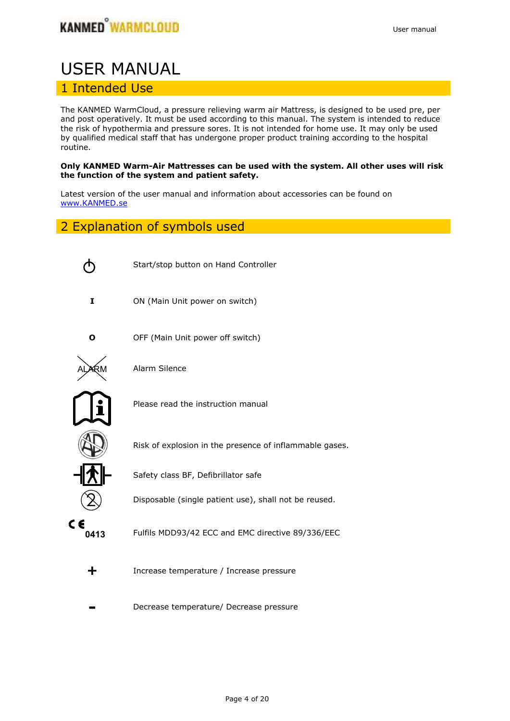# USER MANUAL

# 1 Intended Use

The KANMED WarmCloud, a pressure relieving warm air Mattress, is designed to be used pre, per and post operatively. It must be used according to this manual. The system is intended to reduce the risk of hypothermia and pressure sores. It is not intended for home use. It may only be used by qualified medical staff that has undergone proper product training according to the hospital routine.

#### **Only KANMED Warm-Air Mattresses can be used with the system. All other uses will risk the function of the system and patient safety.**

Latest version of the user manual and information about accessories can be found on www.KANMED.se

# 2 Explanation of symbols used



Start/stop button on Hand Controller



**I** ON (Main Unit power on switch)



**O** OFF (Main Unit power off switch)



Alarm Silence



Please read the instruction manual

Risk of explosion in the presence of inflammable gases.



**0413**

 $C \in$ 

Safety class BF, Defibrillator safe

Disposable (single patient use), shall not be reused.

Fulfils MDD93/42 ECC and EMC directive 89/336/EEC

- **+** Increase temperature / Increase pressure
- Decrease temperature/ Decrease pressure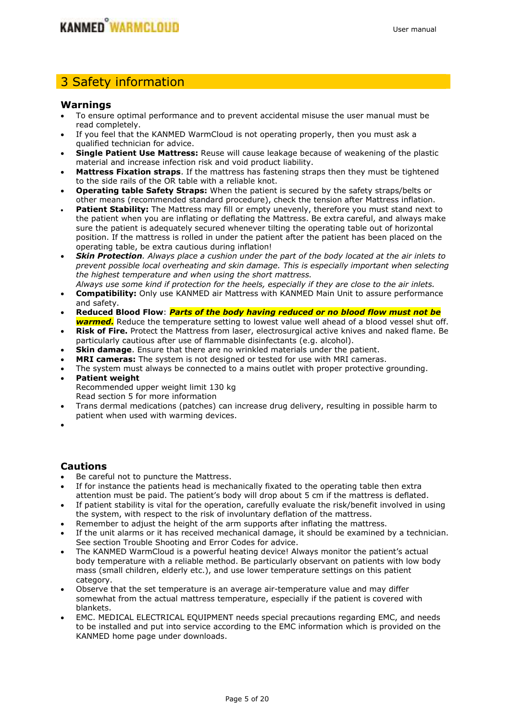# 3 Safety information

#### **Warnings**

- To ensure optimal performance and to prevent accidental misuse the user manual must be read completely.
- If you feel that the KANMED WarmCloud is not operating properly, then you must ask a qualified technician for advice.
- **Single Patient Use Mattress:** Reuse will cause leakage because of weakening of the plastic material and increase infection risk and void product liability.
- **Mattress Fixation straps**. If the mattress has fastening straps then they must be tightened to the side rails of the OR table with a reliable knot.
- **Operating table Safety Straps:** When the patient is secured by the safety straps/belts or other means (recommended standard procedure), check the tension after Mattress inflation.
- **Patient Stability:** The Mattress may fill or empty unevenly, therefore you must stand next to the patient when you are inflating or deflating the Mattress. Be extra careful, and always make sure the patient is adequately secured whenever tilting the operating table out of horizontal position. If the mattress is rolled in under the patient after the patient has been placed on the operating table, be extra cautious during inflation!
- *Skin Protection. Always place a cushion under the part of the body located at the air inlets to prevent possible local overheating and skin damage. This is especially important when selecting the highest temperature and when using the short mattress.*
- *Always use some kind if protection for the heels, especially if they are close to the air inlets.*  • **Compatibility:** Only use KANMED air Mattress with KANMED Main Unit to assure performance and safety.
- **Reduced Blood Flow**: *Parts of the body having reduced or no blood flow must not be warmed.* Reduce the temperature setting to lowest value well ahead of a blood vessel shut off.
- **Risk of Fire.** Protect the Mattress from laser, electrosurgical active knives and naked flame. Be particularly cautious after use of flammable disinfectants (e.g. alcohol).
- **Skin damage**. Ensure that there are no wrinkled materials under the patient.
- **MRI cameras:** The system is not designed or tested for use with MRI cameras.
- The system must always be connected to a mains outlet with proper protective grounding.
- **Patient weight**  Recommended upper weight limit 130 kg Read section 5 for more information
- Trans dermal medications (patches) can increase drug delivery, resulting in possible harm to patient when used with warming devices.
- •

#### **Cautions**

- Be careful not to puncture the Mattress.
- If for instance the patients head is mechanically fixated to the operating table then extra attention must be paid. The patient's body will drop about 5 cm if the mattress is deflated.
- If patient stability is vital for the operation, carefully evaluate the risk/benefit involved in using the system, with respect to the risk of involuntary deflation of the mattress.
- Remember to adjust the height of the arm supports after inflating the mattress.
- If the unit alarms or it has received mechanical damage, it should be examined by a technician. See section Trouble Shooting and Error Codes for advice.
- The KANMED WarmCloud is a powerful heating device! Always monitor the patient's actual body temperature with a reliable method. Be particularly observant on patients with low body mass (small children, elderly etc.), and use lower temperature settings on this patient category.
- Observe that the set temperature is an average air-temperature value and may differ somewhat from the actual mattress temperature, especially if the patient is covered with blankets.
- EMC. MEDICAL ELECTRICAL EQUIPMENT needs special precautions regarding EMC, and needs to be installed and put into service according to the EMC information which is provided on the KANMED home page under downloads.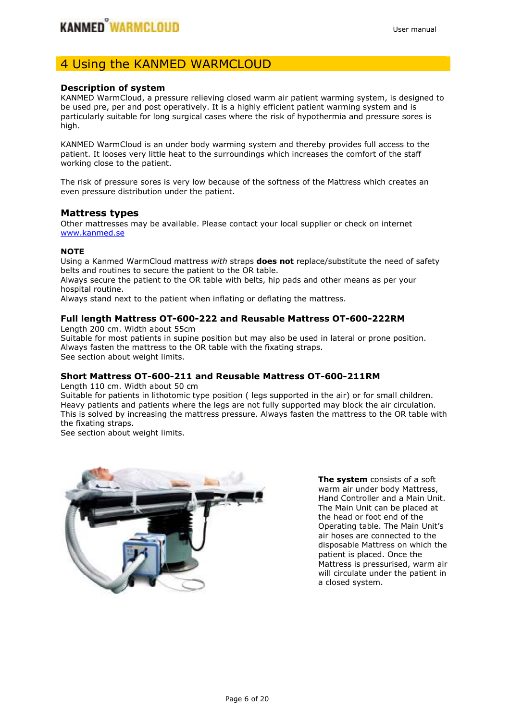# 4 Using the KANMED WARMCLOUD

#### **Description of system**

KANMED WarmCloud, a pressure relieving closed warm air patient warming system, is designed to be used pre, per and post operatively. It is a highly efficient patient warming system and is particularly suitable for long surgical cases where the risk of hypothermia and pressure sores is high.

KANMED WarmCloud is an under body warming system and thereby provides full access to the patient. It looses very little heat to the surroundings which increases the comfort of the staff working close to the patient.

The risk of pressure sores is very low because of the softness of the Mattress which creates an even pressure distribution under the patient.

#### **Mattress types**

Other mattresses may be available. Please contact your local supplier or check on internet www.kanmed.se

#### **NOTE**

Using a Kanmed WarmCloud mattress *with* straps **does not** replace/substitute the need of safety belts and routines to secure the patient to the OR table.

Always secure the patient to the OR table with belts, hip pads and other means as per your hospital routine.

Always stand next to the patient when inflating or deflating the mattress.

#### **Full length Mattress OT-600-222 and Reusable Mattress OT-600-222RM**

Length 200 cm. Width about 55cm

Suitable for most patients in supine position but may also be used in lateral or prone position. Always fasten the mattress to the OR table with the fixating straps. See section about weight limits.

#### **Short Mattress OT-600-211 and Reusable Mattress OT-600-211RM**

Length 110 cm. Width about 50 cm

Suitable for patients in lithotomic type position ( legs supported in the air) or for small children. Heavy patients and patients where the legs are not fully supported may block the air circulation. This is solved by increasing the mattress pressure. Always fasten the mattress to the OR table with the fixating straps.

See section about weight limits.



**The system** consists of a soft warm air under body Mattress, Hand Controller and a Main Unit. The Main Unit can be placed at the head or foot end of the Operating table. The Main Unit's air hoses are connected to the disposable Mattress on which the patient is placed. Once the Mattress is pressurised, warm air will circulate under the patient in a closed system.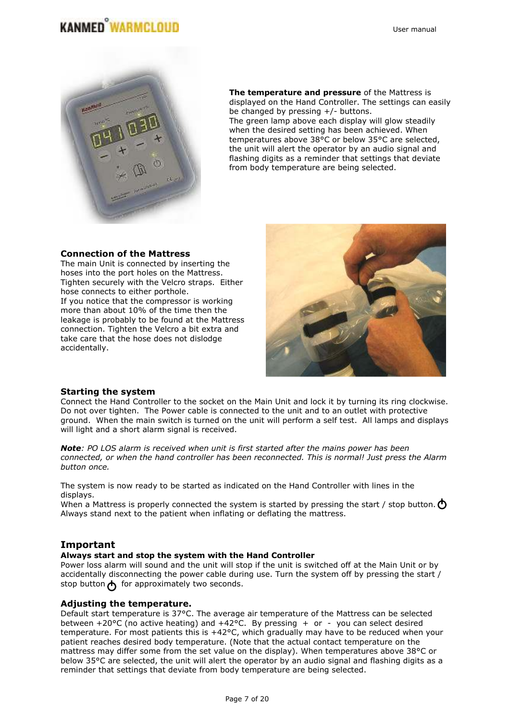# **KANMED** WARMCLOUD



**The temperature and pressure** of the Mattress is displayed on the Hand Controller. The settings can easily be changed by pressing +/- buttons.

The green lamp above each display will glow steadily when the desired setting has been achieved. When temperatures above 38°C or below 35°C are selected, the unit will alert the operator by an audio signal and flashing digits as a reminder that settings that deviate from body temperature are being selected.

#### **Connection of the Mattress**

The main Unit is connected by inserting the hoses into the port holes on the Mattress. Tighten securely with the Velcro straps. Either hose connects to either porthole. If you notice that the compressor is working more than about 10% of the time then the leakage is probably to be found at the Mattress connection. Tighten the Velcro a bit extra and take care that the hose does not dislodge accidentally.



#### **Starting the system**

Connect the Hand Controller to the socket on the Main Unit and lock it by turning its ring clockwise. Do not over tighten. The Power cable is connected to the unit and to an outlet with protective ground. When the main switch is turned on the unit will perform a self test. All lamps and displays will light and a short alarm signal is received.

*Note: PO LOS alarm is received when unit is first started after the mains power has been connected, or when the hand controller has been reconnected. This is normal! Just press the Alarm button once.* 

The system is now ready to be started as indicated on the Hand Controller with lines in the displays.

When a Mattress is properly connected the system is started by pressing the start / stop button.  $\bigcap$ Always stand next to the patient when inflating or deflating the mattress.

### **Important**

#### **Always start and stop the system with the Hand Controller**

Power loss alarm will sound and the unit will stop if the unit is switched off at the Main Unit or by accidentally disconnecting the power cable during use. Turn the system off by pressing the start / stop button  $\bigwedge$  for approximately two seconds.

#### **Adjusting the temperature.**

Default start temperature is 37°C. The average air temperature of the Mattress can be selected between +20°C (no active heating) and +42°C. By pressing + or - you can select desired temperature. For most patients this is +42°C, which gradually may have to be reduced when your patient reaches desired body temperature. (Note that the actual contact temperature on the mattress may differ some from the set value on the display). When temperatures above 38°C or below 35°C are selected, the unit will alert the operator by an audio signal and flashing digits as a reminder that settings that deviate from body temperature are being selected.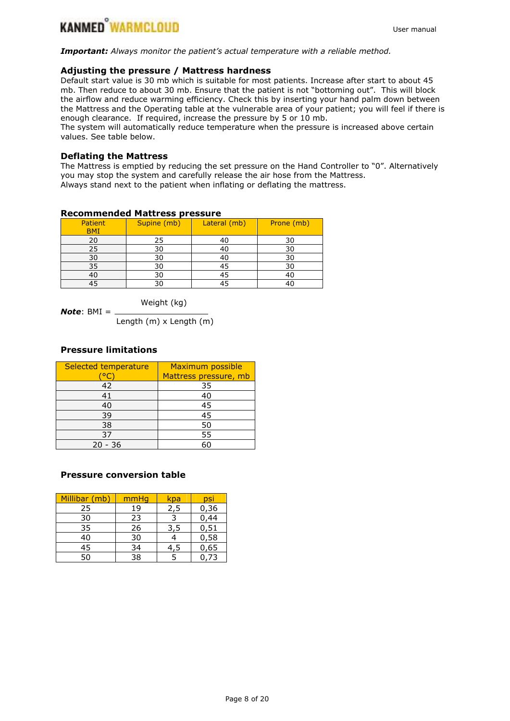*Important: Always monitor the patient's actual temperature with a reliable method.* 

#### **Adjusting the pressure / Mattress hardness**

Default start value is 30 mb which is suitable for most patients. Increase after start to about 45 mb. Then reduce to about 30 mb. Ensure that the patient is not "bottoming out". This will block the airflow and reduce warming efficiency. Check this by inserting your hand palm down between the Mattress and the Operating table at the vulnerable area of your patient; you will feel if there is enough clearance. If required, increase the pressure by 5 or 10 mb.

The system will automatically reduce temperature when the pressure is increased above certain values. See table below.

#### **Deflating the Mattress**

The Mattress is emptied by reducing the set pressure on the Hand Controller to "0". Alternatively you may stop the system and carefully release the air hose from the Mattress. Always stand next to the patient when inflating or deflating the mattress.

#### **Recommended Mattress pressure**

| <b>Patient</b><br><b>BMI</b> | Supine (mb) | Lateral (mb) | Prone (mb) |
|------------------------------|-------------|--------------|------------|
| 20                           | 25          | 40           | 30         |
| 25                           | 30          | 40           |            |
| 30                           | 30          | 40           | 30         |
| 35                           | 30          | 45           | 30         |
| 40                           | 30          | 45           |            |
|                              | 30          | 45           |            |

Weight (kg)

*Note*: BMI = Length (m) x Length (m)

#### **Pressure limitations**

| Selected temperature | <b>Maximum possible</b> |
|----------------------|-------------------------|
|                      | Mattress pressure, mb   |
| 42                   | 35                      |
| 41                   | 40                      |
| 40                   | 45                      |
| 39                   | 45                      |
| 38                   | 50                      |
| 37                   | 55                      |
| $20 - 36$            |                         |

#### **Pressure conversion table**

| Millibar (mb) | mmHq | kpa | DSİ  |
|---------------|------|-----|------|
| 25            | 19   | 2,5 | 0,36 |
| 30            | 23   |     | .44  |
| 35            | 26   | 3,5 | 0,51 |
| 40            | 30   |     | 0,58 |
| 45            | 34   | 4,5 | 0,65 |
| 50            | 38   |     | 0.73 |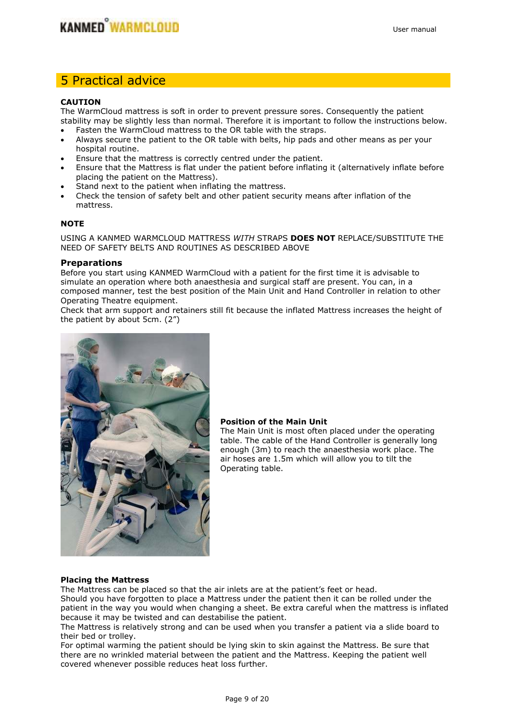### 5 Practical advice

#### **CAUTION**

The WarmCloud mattress is soft in order to prevent pressure sores. Consequently the patient stability may be slightly less than normal. Therefore it is important to follow the instructions below.

- Fasten the WarmCloud mattress to the OR table with the straps.
- Always secure the patient to the OR table with belts, hip pads and other means as per your hospital routine.
- Ensure that the mattress is correctly centred under the patient.
- Ensure that the Mattress is flat under the patient before inflating it (alternatively inflate before placing the patient on the Mattress).
- Stand next to the patient when inflating the mattress.
- Check the tension of safety belt and other patient security means after inflation of the mattress.

#### **NOTE**

USING A KANMED WARMCLOUD MATTRESS *WITH* STRAPS **DOES NOT** REPLACE/SUBSTITUTE THE NEED OF SAFETY BELTS AND ROUTINES AS DESCRIBED ABOVE

#### **Preparations**

Before you start using KANMED WarmCloud with a patient for the first time it is advisable to simulate an operation where both anaesthesia and surgical staff are present. You can, in a composed manner, test the best position of the Main Unit and Hand Controller in relation to other Operating Theatre equipment.

Check that arm support and retainers still fit because the inflated Mattress increases the height of the patient by about 5cm. (2")



#### **Position of the Main Unit**

The Main Unit is most often placed under the operating table. The cable of the Hand Controller is generally long enough (3m) to reach the anaesthesia work place. The air hoses are 1.5m which will allow you to tilt the Operating table.

#### **Placing the Mattress**

The Mattress can be placed so that the air inlets are at the patient's feet or head.

Should you have forgotten to place a Mattress under the patient then it can be rolled under the patient in the way you would when changing a sheet. Be extra careful when the mattress is inflated because it may be twisted and can destabilise the patient.

The Mattress is relatively strong and can be used when you transfer a patient via a slide board to their bed or trolley.

For optimal warming the patient should be lying skin to skin against the Mattress. Be sure that there are no wrinkled material between the patient and the Mattress. Keeping the patient well covered whenever possible reduces heat loss further.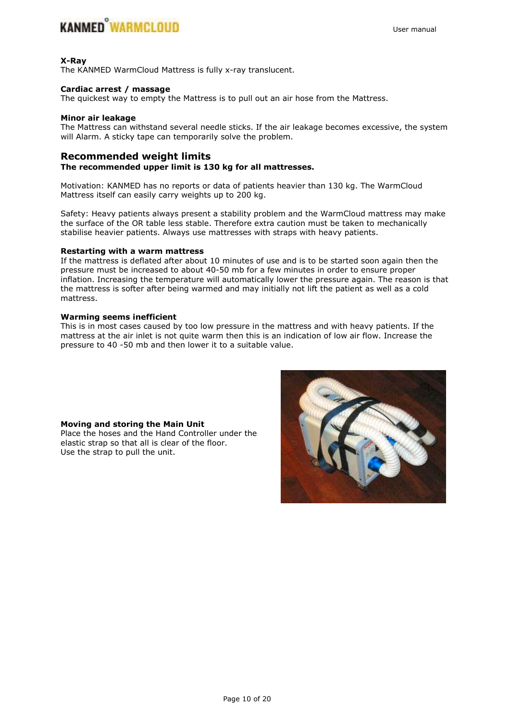

#### **X-Ray**

The KANMED WarmCloud Mattress is fully x-ray translucent.

#### **Cardiac arrest / massage**

The quickest way to empty the Mattress is to pull out an air hose from the Mattress.

#### **Minor air leakage**

The Mattress can withstand several needle sticks. If the air leakage becomes excessive, the system will Alarm. A sticky tape can temporarily solve the problem.

#### **Recommended weight limits**

**The recommended upper limit is 130 kg for all mattresses.** 

Motivation: KANMED has no reports or data of patients heavier than 130 kg. The WarmCloud Mattress itself can easily carry weights up to 200 kg.

Safety: Heavy patients always present a stability problem and the WarmCloud mattress may make the surface of the OR table less stable. Therefore extra caution must be taken to mechanically stabilise heavier patients. Always use mattresses with straps with heavy patients.

#### **Restarting with a warm mattress**

If the mattress is deflated after about 10 minutes of use and is to be started soon again then the pressure must be increased to about 40-50 mb for a few minutes in order to ensure proper inflation. Increasing the temperature will automatically lower the pressure again. The reason is that the mattress is softer after being warmed and may initially not lift the patient as well as a cold mattress.

#### **Warming seems inefficient**

This is in most cases caused by too low pressure in the mattress and with heavy patients. If the mattress at the air inlet is not quite warm then this is an indication of low air flow. Increase the pressure to 40 -50 mb and then lower it to a suitable value.

#### **Moving and storing the Main Unit**

Place the hoses and the Hand Controller under the elastic strap so that all is clear of the floor. Use the strap to pull the unit.

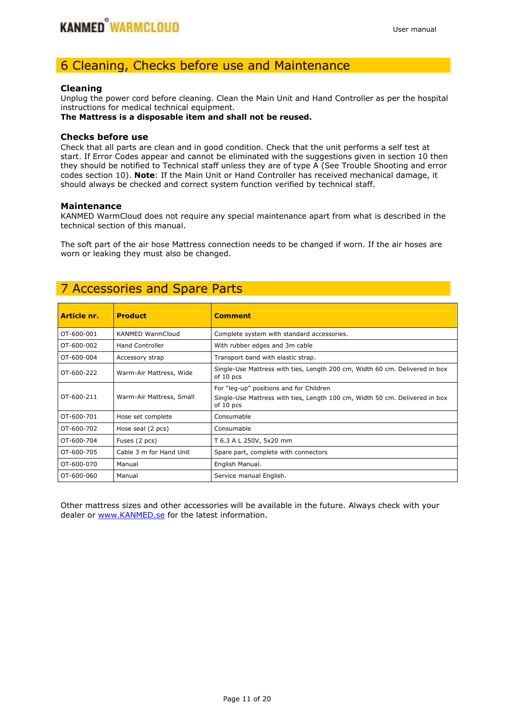# 6 Cleaning, Checks before use and Maintenance

#### **Cleaning**

Unplug the power cord before cleaning. Clean the Main Unit and Hand Controller as per the hospital instructions for medical technical equipment.

**The Mattress is a disposable item and shall not be reused.** 

#### **Checks before use**

Check that all parts are clean and in good condition. Check that the unit performs a self test at start. If Error Codes appear and cannot be eliminated with the suggestions given in section 10 then they should be notified to Technical staff unless they are of type A (See Trouble Shooting and error codes section 10). **Note**: If the Main Unit or Hand Controller has received mechanical damage, it should always be checked and correct system function verified by technical staff.

#### **Maintenance**

KANMED WarmCloud does not require any special maintenance apart from what is described in the technical section of this manual.

The soft part of the air hose Mattress connection needs to be changed if worn. If the air hoses are worn or leaking they must also be changed.

| Article nr. | <b>Product</b>           | <b>Comment</b>                                                                                                                      |
|-------------|--------------------------|-------------------------------------------------------------------------------------------------------------------------------------|
| OT-600-001  | <b>KANMED WarmCloud</b>  | Complete system with standard accessories.                                                                                          |
| OT-600-002  | <b>Hand Controller</b>   | With rubber edges and 3m cable                                                                                                      |
| OT-600-004  | Accessory strap          | Transport band with elastic strap.                                                                                                  |
| OT-600-222  | Warm-Air Mattress, Wide  | Single-Use Mattress with ties, Length 200 cm, Width 60 cm. Delivered in box<br>of 10 pcs                                            |
| OT-600-211  | Warm-Air Mattress, Small | For "leg-up" positions and for Children<br>Single-Use Mattress with ties, Length 100 cm, Width 50 cm. Delivered in box<br>of 10 pcs |
| OT-600-701  | Hose set complete        | Consumable                                                                                                                          |
| OT-600-702  | Hose seal (2 pcs)        | Consumable                                                                                                                          |
| OT-600-704  | Fuses (2 pcs)            | T 6.3 A L 250V, 5x20 mm                                                                                                             |
| OT-600-705  | Cable 3 m for Hand Unit  | Spare part, complete with connectors                                                                                                |
| OT-600-070  | Manual                   | English Manual.                                                                                                                     |
| OT-600-060  | Manual                   | Service manual English.                                                                                                             |

# 7 Accessories and Spare Parts

Other mattress sizes and other accessories will be available in the future. Always check with your dealer or www.KANMED.se for the latest information.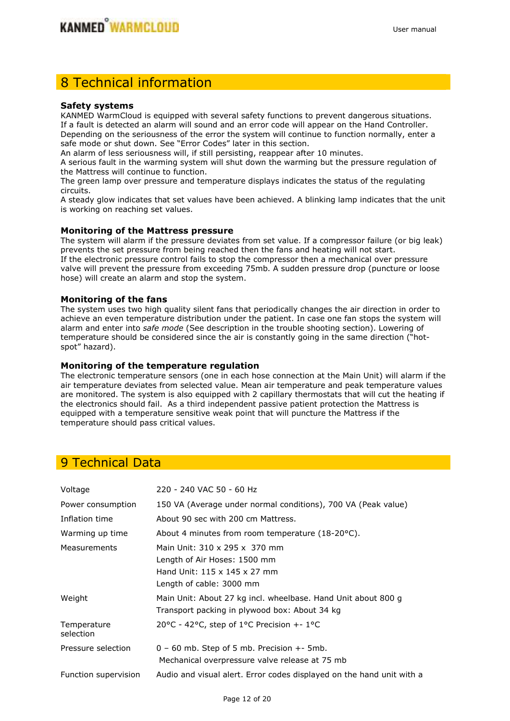# 8 Technical information

#### **Safety systems**

KANMED WarmCloud is equipped with several safety functions to prevent dangerous situations. If a fault is detected an alarm will sound and an error code will appear on the Hand Controller. Depending on the seriousness of the error the system will continue to function normally, enter a safe mode or shut down. See "Error Codes" later in this section.

An alarm of less seriousness will, if still persisting, reappear after 10 minutes.

A serious fault in the warming system will shut down the warming but the pressure regulation of the Mattress will continue to function.

The green lamp over pressure and temperature displays indicates the status of the regulating circuits.

A steady glow indicates that set values have been achieved. A blinking lamp indicates that the unit is working on reaching set values.

#### **Monitoring of the Mattress pressure**

The system will alarm if the pressure deviates from set value. If a compressor failure (or big leak) prevents the set pressure from being reached then the fans and heating will not start. If the electronic pressure control fails to stop the compressor then a mechanical over pressure valve will prevent the pressure from exceeding 75mb. A sudden pressure drop (puncture or loose hose) will create an alarm and stop the system.

#### **Monitoring of the fans**

The system uses two high quality silent fans that periodically changes the air direction in order to achieve an even temperature distribution under the patient. In case one fan stops the system will alarm and enter into *safe mode* (See description in the trouble shooting section). Lowering of temperature should be considered since the air is constantly going in the same direction ("hotspot" hazard).

#### **Monitoring of the temperature regulation**

The electronic temperature sensors (one in each hose connection at the Main Unit) will alarm if the air temperature deviates from selected value. Mean air temperature and peak temperature values are monitored. The system is also equipped with 2 capillary thermostats that will cut the heating if the electronics should fail. As a third independent passive patient protection the Mattress is equipped with a temperature sensitive weak point that will puncture the Mattress if the temperature should pass critical values.

### 9 Technical Data

| Voltage                  | 220 - 240 VAC 50 - 60 Hz                                                                                                  |  |
|--------------------------|---------------------------------------------------------------------------------------------------------------------------|--|
| Power consumption        | 150 VA (Average under normal conditions), 700 VA (Peak value)                                                             |  |
| Inflation time           | About 90 sec with 200 cm Mattress.                                                                                        |  |
| Warming up time          | About 4 minutes from room temperature (18-20°C).                                                                          |  |
| Measurements             | Main Unit: 310 x 295 x 370 mm<br>Length of Air Hoses: 1500 mm<br>Hand Unit: 115 x 145 x 27 mm<br>Length of cable: 3000 mm |  |
| Weight                   | Main Unit: About 27 kg incl. wheelbase. Hand Unit about 800 g<br>Transport packing in plywood box: About 34 kg            |  |
| Temperature<br>selection | 20°C - 42°C, step of 1°C Precision +- 1°C                                                                                 |  |
| Pressure selection       | $0 - 60$ mb. Step of 5 mb. Precision $+ - 5$ mb.<br>Mechanical overpressure valve release at 75 mb                        |  |
| Function supervision     | Audio and visual alert. Error codes displayed on the hand unit with a                                                     |  |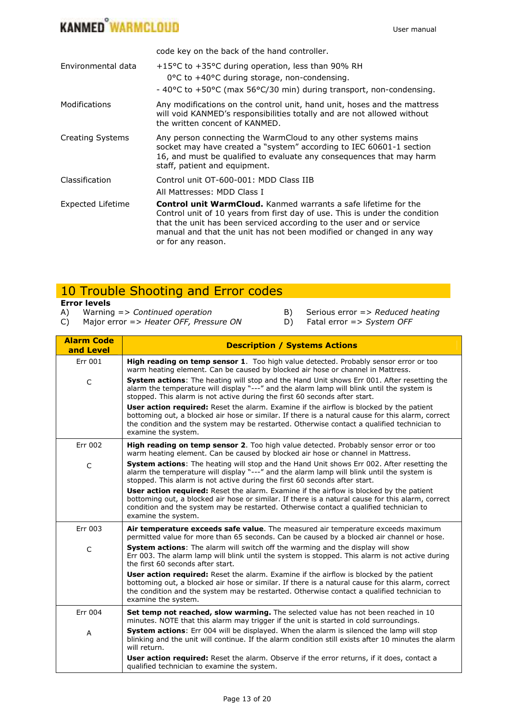# **KANMED<sup>®</sup>WARMCLOUD**

|                          | code key on the back of the hand controller.                                                                                                                                                                                                                                                                                |  |  |
|--------------------------|-----------------------------------------------------------------------------------------------------------------------------------------------------------------------------------------------------------------------------------------------------------------------------------------------------------------------------|--|--|
| Environmental data       | +15°C to +35°C during operation, less than 90% RH                                                                                                                                                                                                                                                                           |  |  |
|                          | $0^{\circ}$ C to +40 $^{\circ}$ C during storage, non-condensing.                                                                                                                                                                                                                                                           |  |  |
|                          | - 40°C to +50°C (max 56°C/30 min) during transport, non-condensing.                                                                                                                                                                                                                                                         |  |  |
| <b>Modifications</b>     | Any modifications on the control unit, hand unit, hoses and the mattress<br>will void KANMED's responsibilities totally and are not allowed without<br>the written concent of KANMED.                                                                                                                                       |  |  |
| <b>Creating Systems</b>  | Any person connecting the WarmCloud to any other systems mains<br>socket may have created a "system" according to IEC 60601-1 section<br>16, and must be qualified to evaluate any consequences that may harm<br>staff, patient and equipment.                                                                              |  |  |
| Classification           | Control unit OT-600-001: MDD Class IIB                                                                                                                                                                                                                                                                                      |  |  |
|                          | All Mattresses: MDD Class I                                                                                                                                                                                                                                                                                                 |  |  |
| <b>Expected Lifetime</b> | <b>Control unit WarmCloud.</b> Kanmed warrants a safe lifetime for the<br>Control unit of 10 years from first day of use. This is under the condition<br>that the unit has been serviced according to the user and or service<br>manual and that the unit has not been modified or changed in any way<br>or for any reason. |  |  |

# 10 Trouble Shooting and Error codes **Error levels**<br>A) Warning<br>C) Major e

- C) Major error => *Heater OFF, Pressure ON* D) Fatal error => *System OFF*
- A) Warning => *Continued operation* B) Serious error => *Reduced heating*

| <b>Alarm Code</b><br>and Level | <b>Description / Systems Actions</b>                                                                                                                                                                                                                                                                                     |  |  |
|--------------------------------|--------------------------------------------------------------------------------------------------------------------------------------------------------------------------------------------------------------------------------------------------------------------------------------------------------------------------|--|--|
| Err 001                        | High reading on temp sensor 1. Too high value detected. Probably sensor error or too<br>warm heating element. Can be caused by blocked air hose or channel in Mattress.                                                                                                                                                  |  |  |
| C                              | System actions: The heating will stop and the Hand Unit shows Err 001. After resetting the<br>alarm the temperature will display "---" and the alarm lamp will blink until the system is<br>stopped. This alarm is not active during the first 60 seconds after start.                                                   |  |  |
|                                | <b>User action required:</b> Reset the alarm. Examine if the airflow is blocked by the patient<br>bottoming out, a blocked air hose or similar. If there is a natural cause for this alarm, correct<br>the condition and the system may be restarted. Otherwise contact a qualified technician to<br>examine the system. |  |  |
| Err 002                        | <b>High reading on temp sensor 2.</b> Too high value detected. Probably sensor error or too<br>warm heating element. Can be caused by blocked air hose or channel in Mattress.                                                                                                                                           |  |  |
| C                              | System actions: The heating will stop and the Hand Unit shows Err 002. After resetting the<br>alarm the temperature will display "---" and the alarm lamp will blink until the system is<br>stopped. This alarm is not active during the first 60 seconds after start.                                                   |  |  |
|                                | <b>User action required:</b> Reset the alarm. Examine if the airflow is blocked by the patient<br>bottoming out, a blocked air hose or similar. If there is a natural cause for this alarm, correct<br>condition and the system may be restarted. Otherwise contact a qualified technician to<br>examine the system.     |  |  |
| Err 003                        | Air temperature exceeds safe value. The measured air temperature exceeds maximum<br>permitted value for more than 65 seconds. Can be caused by a blocked air channel or hose.                                                                                                                                            |  |  |
| $\mathsf{C}$                   | <b>System actions:</b> The alarm will switch off the warming and the display will show<br>Err 003. The alarm lamp will blink until the system is stopped. This alarm is not active during<br>the first 60 seconds after start.                                                                                           |  |  |
|                                | <b>User action required:</b> Reset the alarm. Examine if the airflow is blocked by the patient<br>bottoming out, a blocked air hose or similar. If there is a natural cause for this alarm, correct<br>the condition and the system may be restarted. Otherwise contact a qualified technician to<br>examine the system. |  |  |
| Err 004                        | Set temp not reached, slow warming. The selected value has not been reached in 10<br>minutes. NOTE that this alarm may trigger if the unit is started in cold surroundings.                                                                                                                                              |  |  |
| Α                              | System actions: Err 004 will be displayed. When the alarm is silenced the lamp will stop<br>blinking and the unit will continue. If the alarm condition still exists after 10 minutes the alarm<br>will return.                                                                                                          |  |  |
|                                | User action required: Reset the alarm. Observe if the error returns, if it does, contact a                                                                                                                                                                                                                               |  |  |

qualified technician to examine the system.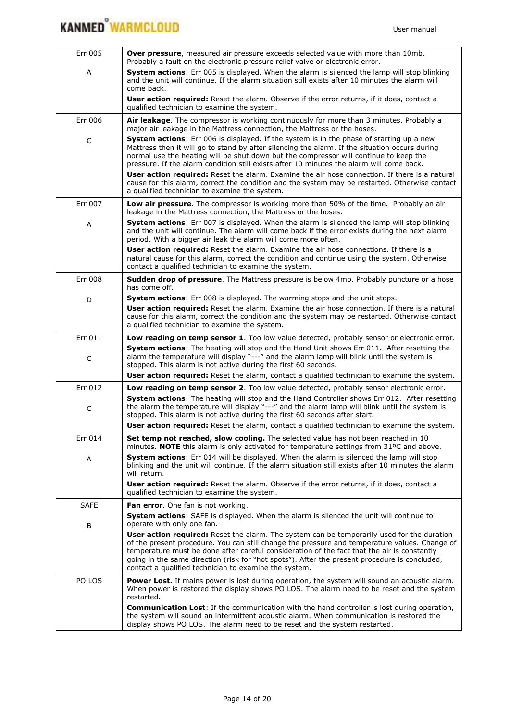# **KANMED<sup>®</sup>WARMCLOUD**

| Err 005     | <b>Over pressure</b> , measured air pressure exceeds selected value with more than 10mb.<br>Probably a fault on the electronic pressure relief valve or electronic error.                                                                                                                                                                                                                                                                                   |  |
|-------------|-------------------------------------------------------------------------------------------------------------------------------------------------------------------------------------------------------------------------------------------------------------------------------------------------------------------------------------------------------------------------------------------------------------------------------------------------------------|--|
| Α           | System actions: Err 005 is displayed. When the alarm is silenced the lamp will stop blinking<br>and the unit will continue. If the alarm situation still exists after 10 minutes the alarm will<br>come back.                                                                                                                                                                                                                                               |  |
|             | User action required: Reset the alarm. Observe if the error returns, if it does, contact a<br>qualified technician to examine the system.                                                                                                                                                                                                                                                                                                                   |  |
| Err 006     | Air leakage. The compressor is working continuously for more than 3 minutes. Probably a<br>major air leakage in the Mattress connection, the Mattress or the hoses.                                                                                                                                                                                                                                                                                         |  |
| C           | System actions: Err 006 is displayed. If the system is in the phase of starting up a new<br>Mattress then it will go to stand by after silencing the alarm. If the situation occurs during<br>normal use the heating will be shut down but the compressor will continue to keep the<br>pressure. If the alarm condition still exists after 10 minutes the alarm will come back.                                                                             |  |
|             | User action required: Reset the alarm. Examine the air hose connection. If there is a natural<br>cause for this alarm, correct the condition and the system may be restarted. Otherwise contact<br>a qualified technician to examine the system.                                                                                                                                                                                                            |  |
| Err 007     | <b>Low air pressure</b> . The compressor is working more than 50% of the time. Probably an air<br>leakage in the Mattress connection, the Mattress or the hoses.                                                                                                                                                                                                                                                                                            |  |
| A           | <b>System actions:</b> Err 007 is displayed. When the alarm is silenced the lamp will stop blinking<br>and the unit will continue. The alarm will come back if the error exists during the next alarm<br>period. With a bigger air leak the alarm will come more often.                                                                                                                                                                                     |  |
|             | User action required: Reset the alarm. Examine the air hose connections. If there is a<br>natural cause for this alarm, correct the condition and continue using the system. Otherwise<br>contact a qualified technician to examine the system.                                                                                                                                                                                                             |  |
| Err 008     | <b>Sudden drop of pressure.</b> The Mattress pressure is below 4mb. Probably puncture or a hose<br>has come off.                                                                                                                                                                                                                                                                                                                                            |  |
| D           | <b>System actions:</b> Err 008 is displayed. The warming stops and the unit stops.                                                                                                                                                                                                                                                                                                                                                                          |  |
|             | User action required: Reset the alarm. Examine the air hose connection. If there is a natural<br>cause for this alarm, correct the condition and the system may be restarted. Otherwise contact<br>a qualified technician to examine the system.                                                                                                                                                                                                            |  |
| Err 011     | Low reading on temp sensor 1. Too low value detected, probably sensor or electronic error.                                                                                                                                                                                                                                                                                                                                                                  |  |
| C           | System actions: The heating will stop and the Hand Unit shows Err 011. After resetting the<br>alarm the temperature will display "---" and the alarm lamp will blink until the system is<br>stopped. This alarm is not active during the first 60 seconds.                                                                                                                                                                                                  |  |
|             | User action required: Reset the alarm, contact a qualified technician to examine the system.                                                                                                                                                                                                                                                                                                                                                                |  |
| Err 012     | Low reading on temp sensor 2. Too low value detected, probably sensor electronic error.                                                                                                                                                                                                                                                                                                                                                                     |  |
| C           | System actions: The heating will stop and the Hand Controller shows Err 012. After resetting<br>the alarm the temperature will display "---" and the alarm lamp will blink until the system is<br>stopped. This alarm is not active during the first 60 seconds after start.                                                                                                                                                                                |  |
|             | User action required: Reset the alarm, contact a qualified technician to examine the system.                                                                                                                                                                                                                                                                                                                                                                |  |
| Err 014     | Set temp not reached, slow cooling. The selected value has not been reached in 10<br>minutes. <b>NOTE</b> this alarm is only activated for temperature settings from $31^{\circ}$ C and above.                                                                                                                                                                                                                                                              |  |
| A           | <b>System actions:</b> Err 014 will be displayed. When the alarm is silenced the lamp will stop<br>blinking and the unit will continue. If the alarm situation still exists after 10 minutes the alarm<br>will return.                                                                                                                                                                                                                                      |  |
|             | <b>User action required:</b> Reset the alarm. Observe if the error returns, if it does, contact a<br>qualified technician to examine the system.                                                                                                                                                                                                                                                                                                            |  |
| <b>SAFE</b> | Fan error. One fan is not working.                                                                                                                                                                                                                                                                                                                                                                                                                          |  |
| В           | System actions: SAFE is displayed. When the alarm is silenced the unit will continue to<br>operate with only one fan.                                                                                                                                                                                                                                                                                                                                       |  |
|             | <b>User action required:</b> Reset the alarm. The system can be temporarily used for the duration<br>of the present procedure. You can still change the pressure and temperature values. Change of<br>temperature must be done after careful consideration of the fact that the air is constantly<br>going in the same direction (risk for "hot spots"). After the present procedure is concluded,<br>contact a qualified technician to examine the system. |  |
| PO LOS      | Power Lost. If mains power is lost during operation, the system will sound an acoustic alarm.<br>When power is restored the display shows PO LOS. The alarm need to be reset and the system<br>restarted.                                                                                                                                                                                                                                                   |  |
|             | <b>Communication Lost:</b> If the communication with the hand controller is lost during operation,<br>the system will sound an intermittent acoustic alarm. When communication is restored the<br>display shows PO LOS. The alarm need to be reset and the system restarted.                                                                                                                                                                                |  |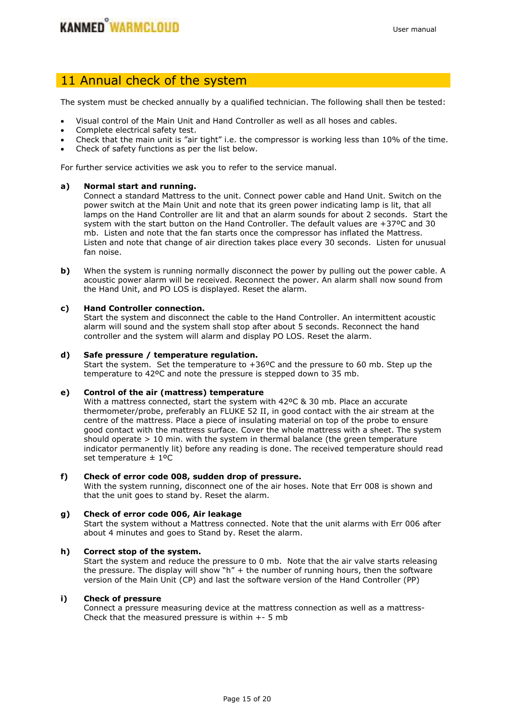

### 11 Annual check of the system

The system must be checked annually by a qualified technician. The following shall then be tested:

- Visual control of the Main Unit and Hand Controller as well as all hoses and cables.
- Complete electrical safety test.
- Check that the main unit is "air tight" i.e. the compressor is working less than 10% of the time.
- Check of safety functions as per the list below.

For further service activities we ask you to refer to the service manual.

#### **a) Normal start and running.**

Connect a standard Mattress to the unit. Connect power cable and Hand Unit. Switch on the power switch at the Main Unit and note that its green power indicating lamp is lit, that all lamps on the Hand Controller are lit and that an alarm sounds for about 2 seconds. Start the system with the start button on the Hand Controller. The default values are +37ºC and 30 mb. Listen and note that the fan starts once the compressor has inflated the Mattress. Listen and note that change of air direction takes place every 30 seconds. Listen for unusual fan noise.

**b)** When the system is running normally disconnect the power by pulling out the power cable. A acoustic power alarm will be received. Reconnect the power. An alarm shall now sound from the Hand Unit, and PO LOS is displayed. Reset the alarm.

#### **c) Hand Controller connection.**

Start the system and disconnect the cable to the Hand Controller. An intermittent acoustic alarm will sound and the system shall stop after about 5 seconds. Reconnect the hand controller and the system will alarm and display PO LOS. Reset the alarm.

#### **d) Safe pressure / temperature regulation.**

 Start the system. Set the temperature to +36ºC and the pressure to 60 mb. Step up the temperature to 42ºC and note the pressure is stepped down to 35 mb.

#### **e) Control of the air (mattress) temperature**

With a mattress connected, start the system with 42ºC & 30 mb. Place an accurate thermometer/probe, preferably an FLUKE 52 II, in good contact with the air stream at the centre of the mattress. Place a piece of insulating material on top of the probe to ensure good contact with the mattress surface. Cover the whole mattress with a sheet. The system should operate > 10 min. with the system in thermal balance (the green temperature indicator permanently lit) before any reading is done. The received temperature should read set temperature ± 1ºC

#### **f) Check of error code 008, sudden drop of pressure.**

 With the system running, disconnect one of the air hoses. Note that Err 008 is shown and that the unit goes to stand by. Reset the alarm.

#### **g) Check of error code 006, Air leakage**

 Start the system without a Mattress connected. Note that the unit alarms with Err 006 after about 4 minutes and goes to Stand by. Reset the alarm.

#### **h) Correct stop of the system.**

Start the system and reduce the pressure to 0 mb. Note that the air valve starts releasing the pressure. The display will show "h" + the number of running hours, then the software version of the Main Unit (CP) and last the software version of the Hand Controller (PP)

#### **i) Check of pressure**

Connect a pressure measuring device at the mattress connection as well as a mattress-Check that the measured pressure is within +- 5 mb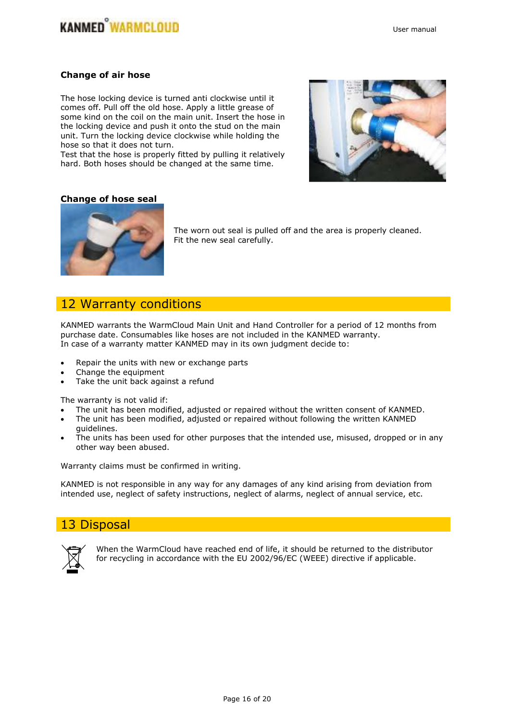#### **Change of air hose**

The hose locking device is turned anti clockwise until it comes off. Pull off the old hose. Apply a little grease of some kind on the coil on the main unit. Insert the hose in the locking device and push it onto the stud on the main unit. Turn the locking device clockwise while holding the hose so that it does not turn.

Test that the hose is properly fitted by pulling it relatively hard. Both hoses should be changed at the same time.



#### **Change of hose seal**



The worn out seal is pulled off and the area is properly cleaned. Fit the new seal carefully.

# 12 Warranty conditions

KANMED warrants the WarmCloud Main Unit and Hand Controller for a period of 12 months from purchase date. Consumables like hoses are not included in the KANMED warranty. In case of a warranty matter KANMED may in its own judgment decide to:

- Repair the units with new or exchange parts
- Change the equipment
- Take the unit back against a refund

The warranty is not valid if:

- The unit has been modified, adjusted or repaired without the written consent of KANMED.
- The unit has been modified, adjusted or repaired without following the written KANMED guidelines.
- The units has been used for other purposes that the intended use, misused, dropped or in any other way been abused.

Warranty claims must be confirmed in writing.

KANMED is not responsible in any way for any damages of any kind arising from deviation from intended use, neglect of safety instructions, neglect of alarms, neglect of annual service, etc.

# 13 Disposal



When the WarmCloud have reached end of life, it should be returned to the distributor for recycling in accordance with the EU 2002/96/EC (WEEE) directive if applicable.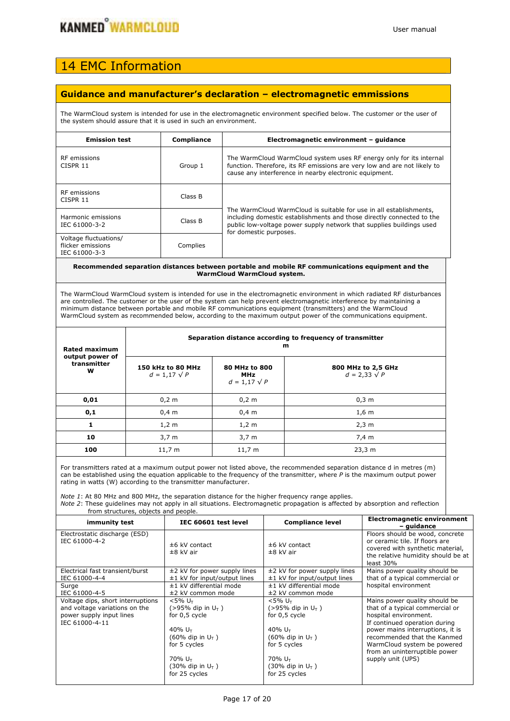# 14 EMC Information

#### **Guidance and manufacturer's declaration – electromagnetic emmissions**

The WarmCloud system is intended for use in the electromagnetic environment specified below. The customer or the user of the system should assure that it is used in such an environment.

| <b>Emission test</b>                                        | Compliance | Electromagnetic environment - guidance                                                                                                                                                                                                        |  |
|-------------------------------------------------------------|------------|-----------------------------------------------------------------------------------------------------------------------------------------------------------------------------------------------------------------------------------------------|--|
| <b>RF</b> emissions<br>CISPR 11                             | Group 1    | The WarmCloud WarmCloud system uses RF energy only for its internal<br>function. Therefore, its RF emissions are very low and are not likely to<br>cause any interference in nearby electronic equipment.                                     |  |
| <b>RF</b> emissions<br>CISPR 11                             | Class B    |                                                                                                                                                                                                                                               |  |
| Harmonic emissions<br>IEC 61000-3-2                         | Class B    | The WarmCloud WarmCloud is suitable for use in all establishments,<br>including domestic establishments and those directly connected to the<br>public low-voltage power supply network that supplies buildings used<br>for domestic purposes. |  |
| Voltage fluctuations/<br>flicker emissions<br>IEC 61000-3-3 | Complies   |                                                                                                                                                                                                                                               |  |

#### **Recommended separation distances between portable and mobile RF communications equipment and the WarmCloud WarmCloud system.**

The WarmCloud WarmCloud system is intended for use in the electromagnetic environment in which radiated RF disturbances are controlled. The customer or the user of the system can help prevent electromagnetic interference by maintaining a minimum distance between portable and mobile RF communications equipment (transmitters) and the WarmCloud WarmCloud system as recommended below, according to the maximum output power of the communications equipment.

| <b>Rated maximum</b><br>output power of<br>transmitter<br>W | Separation distance according to frequency of transmitter<br>m |                                             |                                           |
|-------------------------------------------------------------|----------------------------------------------------------------|---------------------------------------------|-------------------------------------------|
|                                                             | 150 kHz to 80 MHz<br>$d = 1.17 \sqrt{P}$                       | 80 MHz to 800<br>MHz<br>$d = 1.17 \sqrt{P}$ | 800 MHz to 2,5 GHz<br>$d = 2,33 \sqrt{P}$ |
| 0,01                                                        | $0,2 \, \text{m}$                                              | $0,2 \, m$                                  | $0,3$ m                                   |
| 0,1                                                         | $0,4 \, m$                                                     | $0,4 \, m$                                  | $1,6 \, \text{m}$                         |
| 1                                                           | $1,2 \, \text{m}$                                              | $1,2 \, \mathrm{m}$                         | $2,3 \text{ m}$                           |
| 10                                                          | $3,7 \text{ m}$                                                | $3,7 \text{ m}$                             | 7,4 m                                     |
| 100                                                         | 11,7 m                                                         | 11,7 m                                      | 23,3 m                                    |

For transmitters rated at a maximum output power not listed above, the recommended separation distance d in metres (m) can be established using the equation applicable to the frequency of the transmitter, where *P* is the maximum output power rating in watts (W) according to the transmitter manufacturer.

*Note 1*: At 80 MHz and 800 MHz, the separation distance for the higher frequency range applies. *Note 2*: These guidelines may not apply in all situations. Electromagnetic propagation is affected by absorption and reflection from structures, objects and people.

| immunity test                                  | IEC 60601 test level              | <b>Compliance level</b>           | <b>Electromagnetic environment</b><br>- guidance                                                                                                         |
|------------------------------------------------|-----------------------------------|-----------------------------------|----------------------------------------------------------------------------------------------------------------------------------------------------------|
| Electrostatic discharge (ESD)<br>IEC 61000-4-2 | $±6$ kV contact<br>$±8$ kV air    | $±6$ kV contact<br>$±8$ kV air    | Floors should be wood, concrete<br>or ceramic tile. If floors are<br>covered with synthetic material,<br>the relative humidity should be at<br>least 30% |
| Electrical fast transient/burst                | $\pm$ 2 kV for power supply lines | $\pm$ 2 kV for power supply lines | Mains power quality should be                                                                                                                            |
| IEC 61000-4-4                                  | $±1$ kV for input/output lines    | $±1$ kV for input/output lines    | that of a typical commercial or                                                                                                                          |
| Surge                                          | $±1$ kV differential mode         | $±1$ kV differential mode         | hospital environment                                                                                                                                     |
| IEC 61000-4-5                                  | ±2 kV common mode                 | ±2 kV common mode                 |                                                                                                                                                          |
| Voltage dips, short interruptions              | $< 5\%$ U <sub>T</sub>            | $<$ 5% U <sub>T</sub>             | Mains power quality should be                                                                                                                            |
| and voltage variations on the                  | $(>95\%$ dip in $U_T$ )           | $(>95\%$ dip in $U_T$ )           | that of a typical commercial or                                                                                                                          |
| power supply input lines                       | for 0,5 cycle                     | for 0,5 cycle                     | hospital environment.                                                                                                                                    |
| IEC 61000-4-11                                 |                                   |                                   | If continued operation during                                                                                                                            |
|                                                | $40\%$ U <sub>T</sub>             | 40% $U_T$                         | power mains interruptions, it is                                                                                                                         |
|                                                | $(60\%$ dip in $U_T$ )            | $(60\%$ dip in U <sub>T</sub> )   | recommended that the Kanmed                                                                                                                              |
|                                                | for 5 cycles                      | for 5 cycles                      | WarmCloud system be powered                                                                                                                              |
|                                                |                                   |                                   | from an uninterruptible power                                                                                                                            |
|                                                | 70% U <sub>T</sub>                | 70% U <sub>T</sub>                | supply unit (UPS)                                                                                                                                        |
|                                                | $(30\%$ dip in U <sub>T</sub> )   | $(30\%$ dip in U <sub>T</sub> )   |                                                                                                                                                          |
|                                                | for 25 cycles                     | for 25 cycles                     |                                                                                                                                                          |
|                                                |                                   |                                   |                                                                                                                                                          |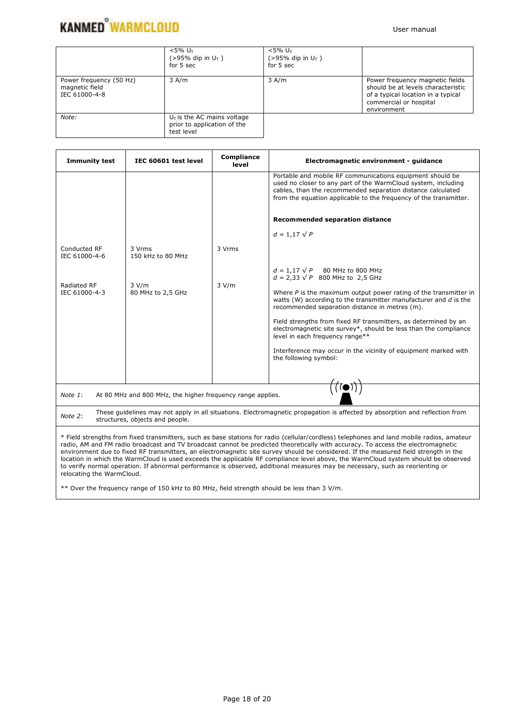

|                                                            | $<$ 5% U <sub>T</sub><br>$(>95\%$ dip in $U_T$ )<br>for 5 sec             | $<$ 5% U <sub>T</sub><br>$(>95\%$ dip in $U_T$ )<br>for 5 sec |                                                                                                                                                      |
|------------------------------------------------------------|---------------------------------------------------------------------------|---------------------------------------------------------------|------------------------------------------------------------------------------------------------------------------------------------------------------|
| Power frequency (50 Hz)<br>magnetic field<br>IEC 61000-4-8 | 3 A/m                                                                     | 3 A/m                                                         | Power frequency magnetic fields<br>should be at levels characteristic<br>of a typical location in a typical<br>commercial or hospital<br>environment |
| Note:                                                      | $UT$ is the AC mains voltage<br>prior to application of the<br>test level |                                                               |                                                                                                                                                      |

| <b>Immunity test</b>                                                                                                                                                                                                                                                          | IEC 60601 test level        | Compliance<br>level                                                                                                                                                                        | Electromagnetic environment - guidance                                                                                                                                                                                                                         |  |
|-------------------------------------------------------------------------------------------------------------------------------------------------------------------------------------------------------------------------------------------------------------------------------|-----------------------------|--------------------------------------------------------------------------------------------------------------------------------------------------------------------------------------------|----------------------------------------------------------------------------------------------------------------------------------------------------------------------------------------------------------------------------------------------------------------|--|
|                                                                                                                                                                                                                                                                               |                             |                                                                                                                                                                                            | Portable and mobile RF communications equipment should be<br>used no closer to any part of the WarmCloud system, including<br>cables, than the recommended separation distance calculated<br>from the equation applicable to the frequency of the transmitter. |  |
|                                                                                                                                                                                                                                                                               |                             |                                                                                                                                                                                            | <b>Recommended separation distance</b>                                                                                                                                                                                                                         |  |
|                                                                                                                                                                                                                                                                               |                             |                                                                                                                                                                                            | $d = 1.17 \sqrt{P}$                                                                                                                                                                                                                                            |  |
| Conducted RF<br>IEC 61000-4-6                                                                                                                                                                                                                                                 | 3 Vrms<br>150 kHz to 80 MHz | 3 Vrms                                                                                                                                                                                     |                                                                                                                                                                                                                                                                |  |
| Radiated RF<br>3 V/m<br>80 MHz to 2,5 GHz<br>IEC 61000-4-3                                                                                                                                                                                                                    |                             |                                                                                                                                                                                            | $d = 1.17 \sqrt{P}$ 80 MHz to 800 MHz<br>$d = 2.33 \sqrt{P}$ 800 MHz to 2.5 GHz                                                                                                                                                                                |  |
|                                                                                                                                                                                                                                                                               | 3 V/m                       | Where $P$ is the maximum output power rating of the transmitter in<br>watts (W) according to the transmitter manufacturer and $d$ is the<br>recommended separation distance in metres (m). |                                                                                                                                                                                                                                                                |  |
|                                                                                                                                                                                                                                                                               |                             |                                                                                                                                                                                            | Field strengths from fixed RF transmitters, as determined by an<br>electromagnetic site survey*, should be less than the compliance<br>level in each frequency range**                                                                                         |  |
|                                                                                                                                                                                                                                                                               |                             |                                                                                                                                                                                            | Interference may occur in the vicinity of equipment marked with<br>the following symbol:                                                                                                                                                                       |  |
|                                                                                                                                                                                                                                                                               |                             |                                                                                                                                                                                            |                                                                                                                                                                                                                                                                |  |
| $(\text{C})$<br>Note 1:<br>At 80 MHz and 800 MHz, the higher frequency range applies.                                                                                                                                                                                         |                             |                                                                                                                                                                                            |                                                                                                                                                                                                                                                                |  |
| These quidelines may not apply in all situations. Electromagnetic propagation is affected by absorption and reflection from<br>Note 2:<br>structures, objects and people.                                                                                                     |                             |                                                                                                                                                                                            |                                                                                                                                                                                                                                                                |  |
| * Field strengths from fixed transmitters, such as base stations for radio (cellular/cordless) telephones and land mobile radios, amateur<br>radio. AM and EM radio broadcast and TV broadcast cannot be predicted theoretically with accuracy. To access the electromagnetic |                             |                                                                                                                                                                                            |                                                                                                                                                                                                                                                                |  |

radio, AM and FM radio broadcast and TV broadcast cannot be predicted theoretically with accuracy. To access the electromagnetic environment due to fixed RF transmitters, an electromagnetic site survey should be considered. If the measured field strength in the location in which the WarmCloud is used exceeds the applicable RF compliance level above, the WarmCloud system should be observed to verify normal operation. If abnormal performance is observed, additional measures may be necessary, such as reorienting or relocating the WarmCloud.

\*\* Over the frequency range of 150 kHz to 80 MHz, field strength should be less than 3 V/m.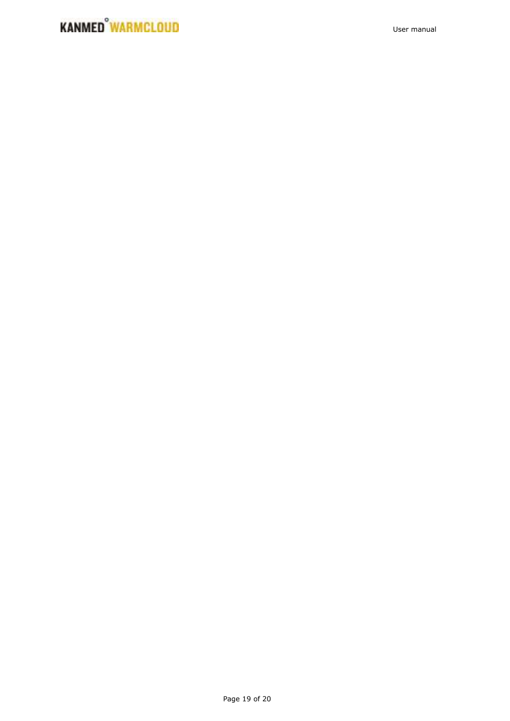# **KANMED<sup>®</sup>WARMCLOUD**